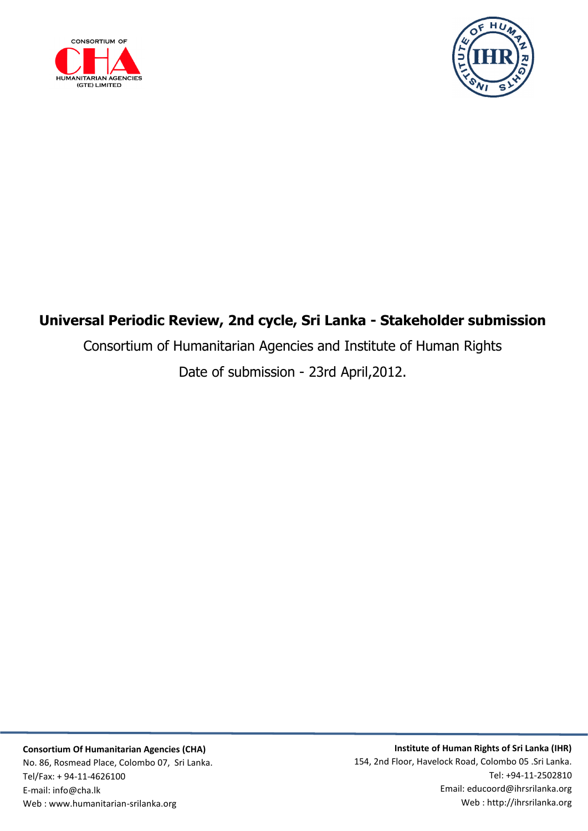



## **Universal Periodic Review, 2nd cycle, Sri Lanka - Stakeholder submission**

Consortium of Humanitarian Agencies and Institute of Human Rights

Date of submission - 23rd April,2012.

**Institute of Human Rights of Sri Lanka (IHR)** 154, 2nd Floor, Havelock Road, Colombo 05 .Sri Lanka. Tel: +94-11-2502810 Email: educoord@ihrsrilanka.org Web : http://ihrsrilanka.org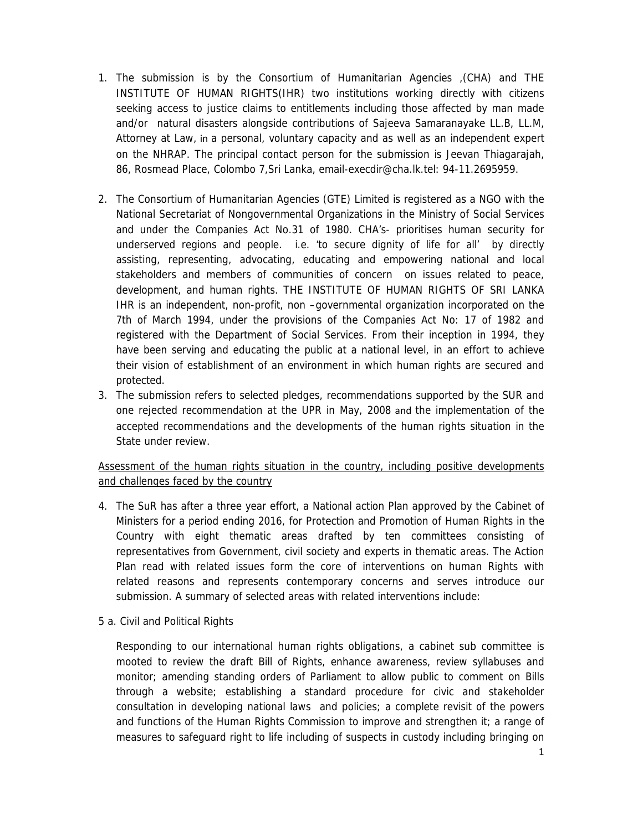- 1. The submission is by the Consortium of Humanitarian Agencies ,(CHA) and THE INSTITUTE OF HUMAN RIGHTS(IHR) two institutions working directly with citizens seeking access to justice claims to entitlements including those affected by man made and/or natural disasters alongside contributions of Sajeeva Samaranayake LL.B, LL.M, Attorney at Law, in a personal, voluntary capacity and as well as an independent expert on the NHRAP. The principal contact person for the submission is Jeevan Thiagarajah, 86, Rosmead Place, Colombo 7,Sri Lanka, email-execdir@cha.lk.tel: 94-11.2695959.
- 2. The Consortium of Humanitarian Agencies (GTE) Limited is registered as a NGO with the National Secretariat of Nongovernmental Organizations in the Ministry of Social Services and under the Companies Act No.31 of 1980. CHA's- prioritises human security for underserved regions and people. i.e. 'to secure dignity of life for all' by directly assisting, representing, advocating, educating and empowering national and local stakeholders and members of communities of concern on issues related to peace, development, and human rights. THE INSTITUTE OF HUMAN RIGHTS OF SRI LANKA IHR is an independent, non-profit, non –governmental organization incorporated on the 7th of March 1994, under the provisions of the Companies Act No: 17 of 1982 and registered with the Department of Social Services. From their inception in 1994, they have been serving and educating the public at a national level, in an effort to achieve their vision of establishment of an environment in which human rights are secured and protected.
- 3. The submission refers to selected pledges, recommendations supported by the SUR and one rejected recommendation at the UPR in May, 2008 and the implementation of the accepted recommendations and the developments of the human rights situation in the State under review.

## Assessment of the human rights situation in the country, including positive developments and challenges faced by the country

- 4. The SuR has after a three year effort, a National action Plan approved by the Cabinet of Ministers for a period ending 2016, for Protection and Promotion of Human Rights in the Country with eight thematic areas drafted by ten committees consisting of representatives from Government, civil society and experts in thematic areas. The Action Plan read with related issues form the core of interventions on human Rights with related reasons and represents contemporary concerns and serves introduce our submission. A summary of selected areas with related interventions include:
- 5 a. Civil and Political Rights

Responding to our international human rights obligations, a cabinet sub committee is mooted to review the draft Bill of Rights, enhance awareness, review syllabuses and monitor; amending standing orders of Parliament to allow public to comment on Bills through a website; establishing a standard procedure for civic and stakeholder consultation in developing national laws and policies; a complete revisit of the powers and functions of the Human Rights Commission to improve and strengthen it; a range of measures to safeguard right to life including of suspects in custody including bringing on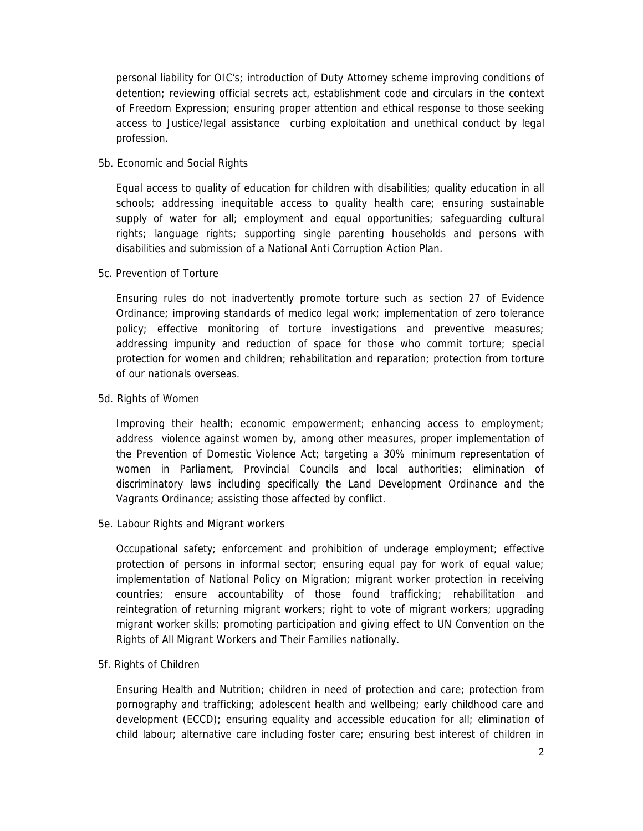personal liability for OIC's; introduction of Duty Attorney scheme improving conditions of detention; reviewing official secrets act, establishment code and circulars in the context of Freedom Expression; ensuring proper attention and ethical response to those seeking access to Justice/legal assistance curbing exploitation and unethical conduct by legal profession.

5b. Economic and Social Rights

Equal access to quality of education for children with disabilities; quality education in all schools; addressing inequitable access to quality health care; ensuring sustainable supply of water for all; employment and equal opportunities; safeguarding cultural rights; language rights; supporting single parenting households and persons with disabilities and submission of a National Anti Corruption Action Plan.

5c. Prevention of Torture

Ensuring rules do not inadvertently promote torture such as section 27 of Evidence Ordinance; improving standards of medico legal work; implementation of zero tolerance policy; effective monitoring of torture investigations and preventive measures; addressing impunity and reduction of space for those who commit torture; special protection for women and children; rehabilitation and reparation; protection from torture of our nationals overseas.

5d. Rights of Women

Improving their health; economic empowerment; enhancing access to employment; address violence against women by, among other measures, proper implementation of the Prevention of Domestic Violence Act; targeting a 30% minimum representation of women in Parliament, Provincial Councils and local authorities; elimination of discriminatory laws including specifically the Land Development Ordinance and the Vagrants Ordinance; assisting those affected by conflict.

5e. Labour Rights and Migrant workers

Occupational safety; enforcement and prohibition of underage employment; effective protection of persons in informal sector; ensuring equal pay for work of equal value; implementation of National Policy on Migration; migrant worker protection in receiving countries; ensure accountability of those found trafficking; rehabilitation and reintegration of returning migrant workers; right to vote of migrant workers; upgrading migrant worker skills; promoting participation and giving effect to UN Convention on the Rights of All Migrant Workers and Their Families nationally.

5f. Rights of Children

Ensuring Health and Nutrition; children in need of protection and care; protection from pornography and trafficking; adolescent health and wellbeing; early childhood care and development (ECCD); ensuring equality and accessible education for all; elimination of child labour; alternative care including foster care; ensuring best interest of children in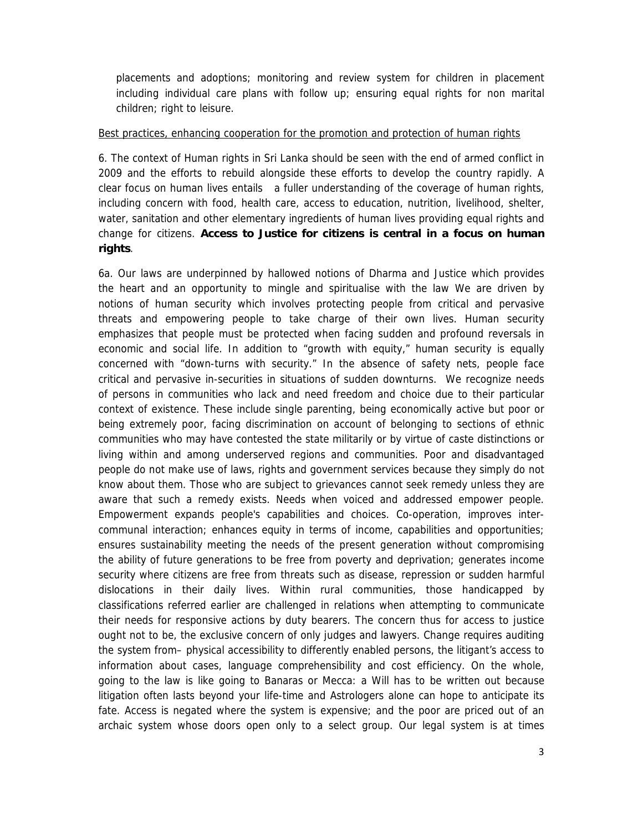placements and adoptions; monitoring and review system for children in placement including individual care plans with follow up; ensuring equal rights for non marital children; right to leisure.

## Best practices, enhancing cooperation for the promotion and protection of human rights

6. The context of Human rights in Sri Lanka should be seen with the end of armed conflict in 2009 and the efforts to rebuild alongside these efforts to develop the country rapidly. A clear focus on human lives entails a fuller understanding of the coverage of human rights, including concern with food, health care, access to education, nutrition, livelihood, shelter, water, sanitation and other elementary ingredients of human lives providing equal rights and change for citizens. **Access to Justice for citizens is central in a focus on human rights**.

6a. Our laws are underpinned by hallowed notions of Dharma and Justice which provides the heart and an opportunity to mingle and spiritualise with the law We are driven by notions of human security which involves protecting people from critical and pervasive threats and empowering people to take charge of their own lives. Human security emphasizes that people must be protected when facing sudden and profound reversals in economic and social life. In addition to "growth with equity," human security is equally concerned with "down-turns with security." In the absence of safety nets, people face critical and pervasive in-securities in situations of sudden downturns. We recognize needs of persons in communities who lack and need freedom and choice due to their particular context of existence. These include single parenting, being economically active but poor or being extremely poor, facing discrimination on account of belonging to sections of ethnic communities who may have contested the state militarily or by virtue of caste distinctions or living within and among underserved regions and communities. Poor and disadvantaged people do not make use of laws, rights and government services because they simply do not know about them. Those who are subject to grievances cannot seek remedy unless they are aware that such a remedy exists. Needs when voiced and addressed empower people. Empowerment expands people's capabilities and choices. Co-operation, improves intercommunal interaction; enhances equity in terms of income, capabilities and opportunities; ensures sustainability meeting the needs of the present generation without compromising the ability of future generations to be free from poverty and deprivation; generates income security where citizens are free from threats such as disease, repression or sudden harmful dislocations in their daily lives. Within rural communities, those handicapped by classifications referred earlier are challenged in relations when attempting to communicate their needs for responsive actions by duty bearers. The concern thus for access to justice ought not to be, the exclusive concern of only judges and lawyers. Change requires auditing the system from– physical accessibility to differently enabled persons, the litigant's access to information about cases, language comprehensibility and cost efficiency. On the whole, going to the law is like going to Banaras or Mecca: a Will has to be written out because litigation often lasts beyond your life-time and Astrologers alone can hope to anticipate its fate. Access is negated where the system is expensive; and the poor are priced out of an archaic system whose doors open only to a select group. Our legal system is at times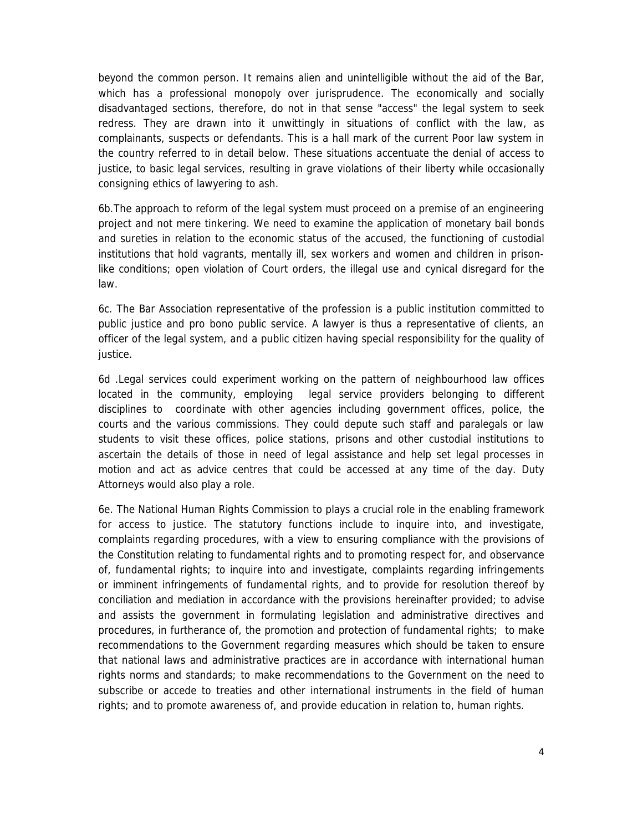beyond the common person. It remains alien and unintelligible without the aid of the Bar, which has a professional monopoly over jurisprudence. The economically and socially disadvantaged sections, therefore, do not in that sense "access" the legal system to seek redress. They are drawn into it unwittingly in situations of conflict with the law, as complainants, suspects or defendants. This is a hall mark of the current Poor law system in the country referred to in detail below. These situations accentuate the denial of access to justice, to basic legal services, resulting in grave violations of their liberty while occasionally consigning ethics of lawyering to ash.

6b.The approach to reform of the legal system must proceed on a premise of an engineering project and not mere tinkering. We need to examine the application of monetary bail bonds and sureties in relation to the economic status of the accused, the functioning of custodial institutions that hold vagrants, mentally ill, sex workers and women and children in prisonlike conditions; open violation of Court orders, the illegal use and cynical disregard for the law.

6c. The Bar Association representative of the profession is a public institution committed to public justice and pro bono public service. A lawyer is thus a representative of clients, an officer of the legal system, and a public citizen having special responsibility for the quality of justice.

6d .Legal services could experiment working on the pattern of neighbourhood law offices located in the community, employing legal service providers belonging to different disciplines to coordinate with other agencies including government offices, police, the courts and the various commissions. They could depute such staff and paralegals or law students to visit these offices, police stations, prisons and other custodial institutions to ascertain the details of those in need of legal assistance and help set legal processes in motion and act as advice centres that could be accessed at any time of the day. Duty Attorneys would also play a role.

6e. The National Human Rights Commission to plays a crucial role in the enabling framework for access to justice. The statutory functions include to inquire into, and investigate, complaints regarding procedures, with a view to ensuring compliance with the provisions of the Constitution relating to fundamental rights and to promoting respect for, and observance of, fundamental rights; to inquire into and investigate, complaints regarding infringements or imminent infringements of fundamental rights, and to provide for resolution thereof by conciliation and mediation in accordance with the provisions hereinafter provided; to advise and assists the government in formulating legislation and administrative directives and procedures, in furtherance of, the promotion and protection of fundamental rights; to make recommendations to the Government regarding measures which should be taken to ensure that national laws and administrative practices are in accordance with international human rights norms and standards; to make recommendations to the Government on the need to subscribe or accede to treaties and other international instruments in the field of human rights; and to promote awareness of, and provide education in relation to, human rights.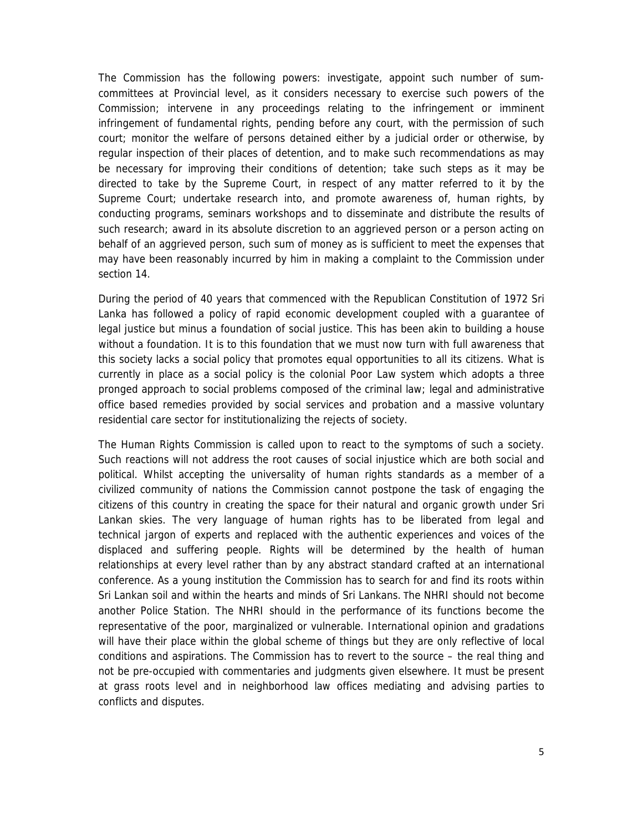The Commission has the following powers: investigate, appoint such number of sumcommittees at Provincial level, as it considers necessary to exercise such powers of the Commission; intervene in any proceedings relating to the infringement or imminent infringement of fundamental rights, pending before any court, with the permission of such court; monitor the welfare of persons detained either by a judicial order or otherwise, by regular inspection of their places of detention, and to make such recommendations as may be necessary for improving their conditions of detention; take such steps as it may be directed to take by the Supreme Court, in respect of any matter referred to it by the Supreme Court; undertake research into, and promote awareness of, human rights, by conducting programs, seminars workshops and to disseminate and distribute the results of such research; award in its absolute discretion to an aggrieved person or a person acting on behalf of an aggrieved person, such sum of money as is sufficient to meet the expenses that may have been reasonably incurred by him in making a complaint to the Commission under section 14.

During the period of 40 years that commenced with the Republican Constitution of 1972 Sri Lanka has followed a policy of rapid economic development coupled with a guarantee of legal justice but minus a foundation of social justice. This has been akin to building a house without a foundation. It is to this foundation that we must now turn with full awareness that this society lacks a social policy that promotes equal opportunities to all its citizens. What is currently in place as a social policy is the colonial Poor Law system which adopts a three pronged approach to social problems composed of the criminal law; legal and administrative office based remedies provided by social services and probation and a massive voluntary residential care sector for institutionalizing the rejects of society.

The Human Rights Commission is called upon to react to the symptoms of such a society. Such reactions will not address the root causes of social injustice which are both social and political. Whilst accepting the universality of human rights standards as a member of a civilized community of nations the Commission cannot postpone the task of engaging the citizens of this country in creating the space for their natural and organic growth under Sri Lankan skies. The very language of human rights has to be liberated from legal and technical jargon of experts and replaced with the authentic experiences and voices of the displaced and suffering people. Rights will be determined by the health of human relationships at every level rather than by any abstract standard crafted at an international conference. As a young institution the Commission has to search for and find its roots within Sri Lankan soil and within the hearts and minds of Sri Lankans. The NHRI should not become another Police Station. The NHRI should in the performance of its functions become the representative of the poor, marginalized or vulnerable. International opinion and gradations will have their place within the global scheme of things but they are only reflective of local conditions and aspirations. The Commission has to revert to the source – the real thing and not be pre-occupied with commentaries and judgments given elsewhere. It must be present at grass roots level and in neighborhood law offices mediating and advising parties to conflicts and disputes.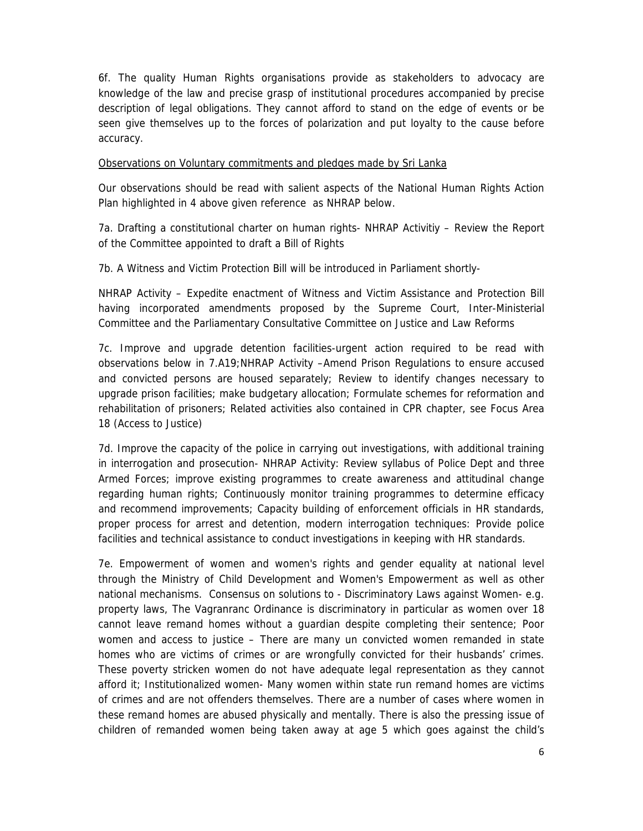6f. The quality Human Rights organisations provide as stakeholders to advocacy are knowledge of the law and precise grasp of institutional procedures accompanied by precise description of legal obligations. They cannot afford to stand on the edge of events or be seen give themselves up to the forces of polarization and put loyalty to the cause before accuracy.

## Observations on Voluntary commitments and pledges made by Sri Lanka

Our observations should be read with salient aspects of the National Human Rights Action Plan highlighted in 4 above given reference as NHRAP below.

7a. Drafting a constitutional charter on human rights- NHRAP Activitiy – Review the Report of the Committee appointed to draft a Bill of Rights

7b. A Witness and Victim Protection Bill will be introduced in Parliament shortly-

NHRAP Activity – Expedite enactment of Witness and Victim Assistance and Protection Bill having incorporated amendments proposed by the Supreme Court, Inter-Ministerial Committee and the Parliamentary Consultative Committee on Justice and Law Reforms

7c. Improve and upgrade detention facilities-urgent action required to be read with observations below in 7.A19;NHRAP Activity –Amend Prison Regulations to ensure accused and convicted persons are housed separately; Review to identify changes necessary to upgrade prison facilities; make budgetary allocation; Formulate schemes for reformation and rehabilitation of prisoners; Related activities also contained in CPR chapter, see Focus Area 18 (Access to Justice)

7d. Improve the capacity of the police in carrying out investigations, with additional training in interrogation and prosecution- NHRAP Activity: Review syllabus of Police Dept and three Armed Forces; improve existing programmes to create awareness and attitudinal change regarding human rights; Continuously monitor training programmes to determine efficacy and recommend improvements; Capacity building of enforcement officials in HR standards, proper process for arrest and detention, modern interrogation techniques: Provide police facilities and technical assistance to conduct investigations in keeping with HR standards.

7e. Empowerment of women and women's rights and gender equality at national level through the Ministry of Child Development and Women's Empowerment as well as other national mechanisms. Consensus on solutions to - Discriminatory Laws against Women- e.g. property laws, The Vagranranc Ordinance is discriminatory in particular as women over 18 cannot leave remand homes without a guardian despite completing their sentence; Poor women and access to justice – There are many un convicted women remanded in state homes who are victims of crimes or are wrongfully convicted for their husbands' crimes. These poverty stricken women do not have adequate legal representation as they cannot afford it; Institutionalized women- Many women within state run remand homes are victims of crimes and are not offenders themselves. There are a number of cases where women in these remand homes are abused physically and mentally. There is also the pressing issue of children of remanded women being taken away at age 5 which goes against the child's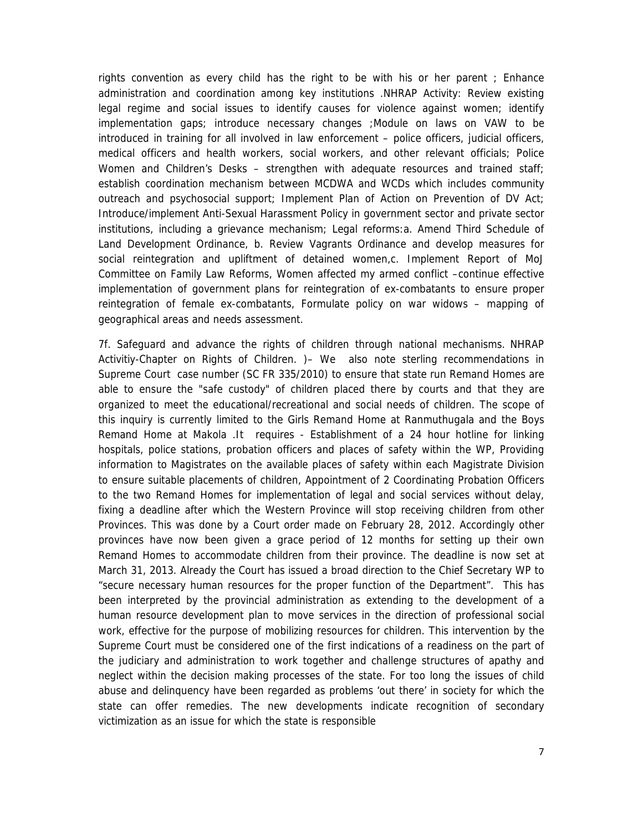rights convention as every child has the right to be with his or her parent ; Enhance administration and coordination among key institutions .NHRAP Activity: Review existing legal regime and social issues to identify causes for violence against women; identify implementation gaps; introduce necessary changes ;Module on laws on VAW to be introduced in training for all involved in law enforcement – police officers, judicial officers, medical officers and health workers, social workers, and other relevant officials; Police Women and Children's Desks – strengthen with adequate resources and trained staff; establish coordination mechanism between MCDWA and WCDs which includes community outreach and psychosocial support; Implement Plan of Action on Prevention of DV Act; Introduce/implement Anti-Sexual Harassment Policy in government sector and private sector institutions, including a grievance mechanism; Legal reforms:a. Amend Third Schedule of Land Development Ordinance, b. Review Vagrants Ordinance and develop measures for social reintegration and upliftment of detained women,c. Implement Report of MoJ Committee on Family Law Reforms, Women affected my armed conflict –continue effective implementation of government plans for reintegration of ex-combatants to ensure proper reintegration of female ex-combatants, Formulate policy on war widows – mapping of geographical areas and needs assessment.

7f. Safeguard and advance the rights of children through national mechanisms. NHRAP Activitiy-Chapter on Rights of Children. )– We also note sterling recommendations in Supreme Court case number (SC FR 335/2010) to ensure that state run Remand Homes are able to ensure the "safe custody" of children placed there by courts and that they are organized to meet the educational/recreational and social needs of children. The scope of this inquiry is currently limited to the Girls Remand Home at Ranmuthugala and the Boys Remand Home at Makola .It requires - Establishment of a 24 hour hotline for linking hospitals, police stations, probation officers and places of safety within the WP, Providing information to Magistrates on the available places of safety within each Magistrate Division to ensure suitable placements of children, Appointment of 2 Coordinating Probation Officers to the two Remand Homes for implementation of legal and social services without delay, fixing a deadline after which the Western Province will stop receiving children from other Provinces. This was done by a Court order made on February 28, 2012. Accordingly other provinces have now been given a grace period of 12 months for setting up their own Remand Homes to accommodate children from their province. The deadline is now set at March 31, 2013. Already the Court has issued a broad direction to the Chief Secretary WP to "secure necessary human resources for the proper function of the Department". This has been interpreted by the provincial administration as extending to the development of a human resource development plan to move services in the direction of professional social work, effective for the purpose of mobilizing resources for children. This intervention by the Supreme Court must be considered one of the first indications of a readiness on the part of the judiciary and administration to work together and challenge structures of apathy and neglect within the decision making processes of the state. For too long the issues of child abuse and delinquency have been regarded as problems 'out there' in society for which the state can offer remedies. The new developments indicate recognition of secondary victimization as an issue for which the state is responsible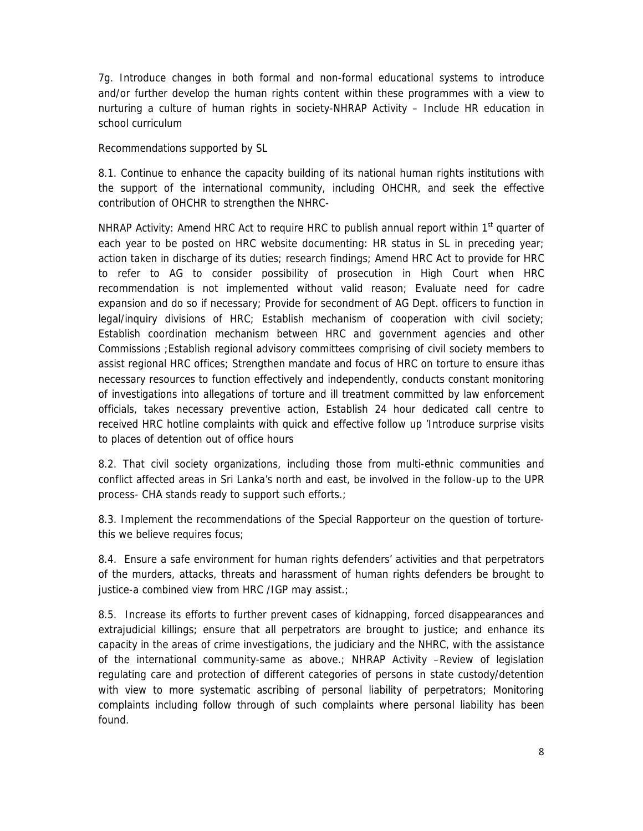7g. Introduce changes in both formal and non-formal educational systems to introduce and/or further develop the human rights content within these programmes with a view to nurturing a culture of human rights in society-NHRAP Activity – Include HR education in school curriculum

Recommendations supported by SL

8.1. Continue to enhance the capacity building of its national human rights institutions with the support of the international community, including OHCHR, and seek the effective contribution of OHCHR to strengthen the NHRC-

NHRAP Activity: Amend HRC Act to require HRC to publish annual report within  $1<sup>st</sup>$  quarter of each year to be posted on HRC website documenting: HR status in SL in preceding year; action taken in discharge of its duties; research findings; Amend HRC Act to provide for HRC to refer to AG to consider possibility of prosecution in High Court when HRC recommendation is not implemented without valid reason; Evaluate need for cadre expansion and do so if necessary; Provide for secondment of AG Dept. officers to function in legal/inquiry divisions of HRC; Establish mechanism of cooperation with civil society; Establish coordination mechanism between HRC and government agencies and other Commissions ;Establish regional advisory committees comprising of civil society members to assist regional HRC offices; Strengthen mandate and focus of HRC on torture to ensure ithas necessary resources to function effectively and independently, conducts constant monitoring of investigations into allegations of torture and ill treatment committed by law enforcement officials, takes necessary preventive action, Establish 24 hour dedicated call centre to received HRC hotline complaints with quick and effective follow up 'Introduce surprise visits to places of detention out of office hours

8.2. That civil society organizations, including those from multi-ethnic communities and conflict affected areas in Sri Lanka's north and east, be involved in the follow-up to the UPR process- CHA stands ready to support such efforts.;

8.3. Implement the recommendations of the Special Rapporteur on the question of torturethis we believe requires focus;

8.4. Ensure a safe environment for human rights defenders' activities and that perpetrators of the murders, attacks, threats and harassment of human rights defenders be brought to justice-a combined view from HRC /IGP may assist.;

8.5. Increase its efforts to further prevent cases of kidnapping, forced disappearances and extrajudicial killings; ensure that all perpetrators are brought to justice; and enhance its capacity in the areas of crime investigations, the judiciary and the NHRC, with the assistance of the international community-same as above.; NHRAP Activity –Review of legislation regulating care and protection of different categories of persons in state custody/detention with view to more systematic ascribing of personal liability of perpetrators; Monitoring complaints including follow through of such complaints where personal liability has been found.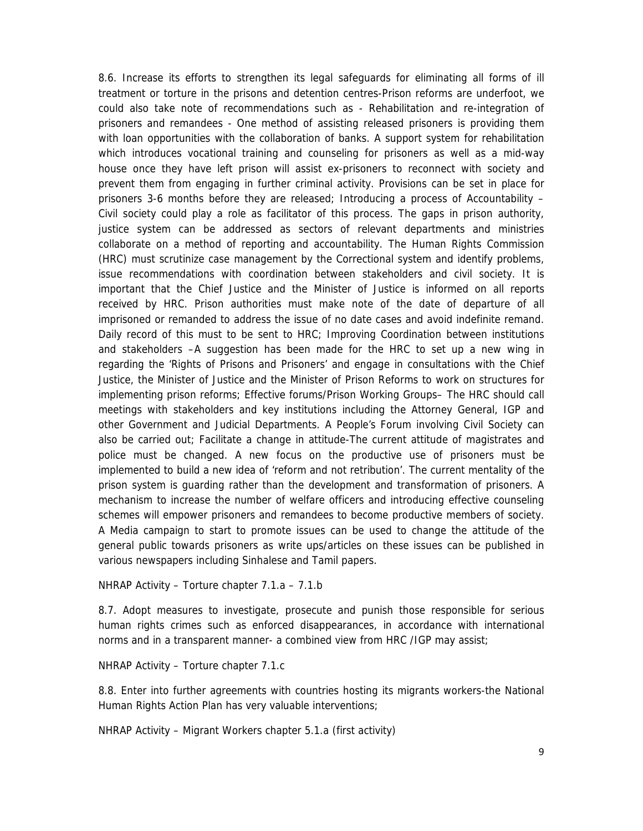8.6. Increase its efforts to strengthen its legal safeguards for eliminating all forms of ill treatment or torture in the prisons and detention centres-Prison reforms are underfoot, we could also take note of recommendations such as - Rehabilitation and re-integration of prisoners and remandees - One method of assisting released prisoners is providing them with loan opportunities with the collaboration of banks. A support system for rehabilitation which introduces vocational training and counseling for prisoners as well as a mid-way house once they have left prison will assist ex-prisoners to reconnect with society and prevent them from engaging in further criminal activity. Provisions can be set in place for prisoners 3-6 months before they are released; Introducing a process of Accountability – Civil society could play a role as facilitator of this process. The gaps in prison authority, justice system can be addressed as sectors of relevant departments and ministries collaborate on a method of reporting and accountability. The Human Rights Commission (HRC) must scrutinize case management by the Correctional system and identify problems, issue recommendations with coordination between stakeholders and civil society. It is important that the Chief Justice and the Minister of Justice is informed on all reports received by HRC. Prison authorities must make note of the date of departure of all imprisoned or remanded to address the issue of no date cases and avoid indefinite remand. Daily record of this must to be sent to HRC; Improving Coordination between institutions and stakeholders –A suggestion has been made for the HRC to set up a new wing in regarding the 'Rights of Prisons and Prisoners' and engage in consultations with the Chief Justice, the Minister of Justice and the Minister of Prison Reforms to work on structures for implementing prison reforms; Effective forums/Prison Working Groups– The HRC should call meetings with stakeholders and key institutions including the Attorney General, IGP and other Government and Judicial Departments. A People's Forum involving Civil Society can also be carried out; Facilitate a change in attitude-The current attitude of magistrates and police must be changed. A new focus on the productive use of prisoners must be implemented to build a new idea of 'reform and not retribution'. The current mentality of the prison system is guarding rather than the development and transformation of prisoners. A mechanism to increase the number of welfare officers and introducing effective counseling schemes will empower prisoners and remandees to become productive members of society. A Media campaign to start to promote issues can be used to change the attitude of the general public towards prisoners as write ups/articles on these issues can be published in various newspapers including Sinhalese and Tamil papers.

NHRAP Activity – Torture chapter 7.1.a – 7.1.b

8.7. Adopt measures to investigate, prosecute and punish those responsible for serious human rights crimes such as enforced disappearances, in accordance with international norms and in a transparent manner- a combined view from HRC /IGP may assist;

NHRAP Activity – Torture chapter 7.1.c

8.8. Enter into further agreements with countries hosting its migrants workers-the National Human Rights Action Plan has very valuable interventions;

NHRAP Activity – Migrant Workers chapter 5.1.a (first activity)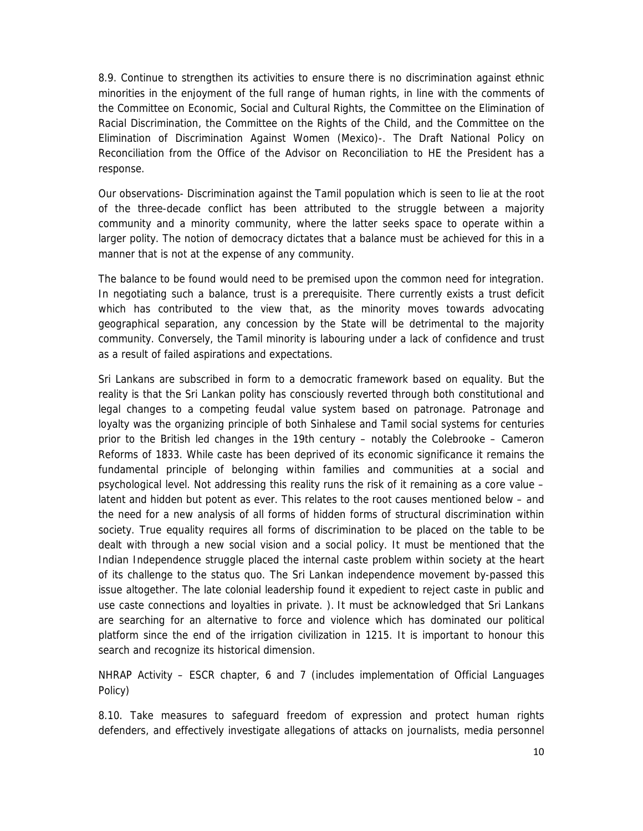8.9. Continue to strengthen its activities to ensure there is no discrimination against ethnic minorities in the enjoyment of the full range of human rights, in line with the comments of the Committee on Economic, Social and Cultural Rights, the Committee on the Elimination of Racial Discrimination, the Committee on the Rights of the Child, and the Committee on the Elimination of Discrimination Against Women (Mexico)-. The Draft National Policy on Reconciliation from the Office of the Advisor on Reconciliation to HE the President has a response.

Our observations- Discrimination against the Tamil population which is seen to lie at the root of the three-decade conflict has been attributed to the struggle between a majority community and a minority community, where the latter seeks space to operate within a larger polity. The notion of democracy dictates that a balance must be achieved for this in a manner that is not at the expense of any community.

The balance to be found would need to be premised upon the common need for integration. In negotiating such a balance, trust is a prerequisite. There currently exists a trust deficit which has contributed to the view that, as the minority moves towards advocating geographical separation, any concession by the State will be detrimental to the majority community. Conversely, the Tamil minority is labouring under a lack of confidence and trust as a result of failed aspirations and expectations.

Sri Lankans are subscribed in form to a democratic framework based on equality. But the reality is that the Sri Lankan polity has consciously reverted through both constitutional and legal changes to a competing feudal value system based on patronage. Patronage and loyalty was the organizing principle of both Sinhalese and Tamil social systems for centuries prior to the British led changes in the 19th century – notably the Colebrooke – Cameron Reforms of 1833. While caste has been deprived of its economic significance it remains the fundamental principle of belonging within families and communities at a social and psychological level. Not addressing this reality runs the risk of it remaining as a core value – latent and hidden but potent as ever. This relates to the root causes mentioned below – and the need for a new analysis of all forms of hidden forms of structural discrimination within society. True equality requires all forms of discrimination to be placed on the table to be dealt with through a new social vision and a social policy. It must be mentioned that the Indian Independence struggle placed the internal caste problem within society at the heart of its challenge to the status quo. The Sri Lankan independence movement by-passed this issue altogether. The late colonial leadership found it expedient to reject caste in public and use caste connections and loyalties in private. ). It must be acknowledged that Sri Lankans are searching for an alternative to force and violence which has dominated our political platform since the end of the irrigation civilization in 1215. It is important to honour this search and recognize its historical dimension.

NHRAP Activity – ESCR chapter, 6 and 7 (includes implementation of Official Languages Policy)

8.10. Take measures to safeguard freedom of expression and protect human rights defenders, and effectively investigate allegations of attacks on journalists, media personnel